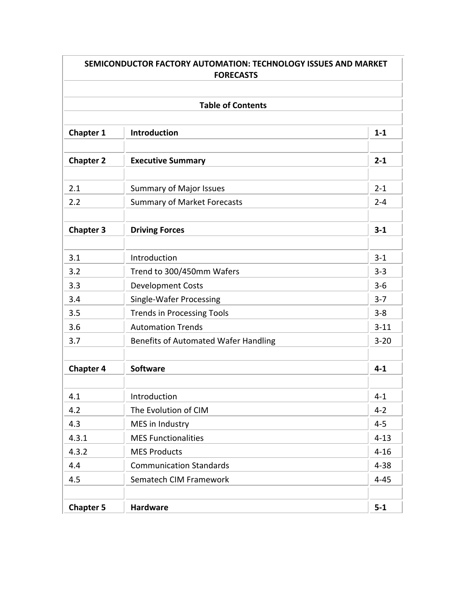| <b>Table of Contents</b> |                                             |          |  |  |
|--------------------------|---------------------------------------------|----------|--|--|
| <b>Chapter 1</b>         | <b>Introduction</b>                         | $1 - 1$  |  |  |
| <b>Chapter 2</b>         | <b>Executive Summary</b>                    | $2 - 1$  |  |  |
| 2.1                      | <b>Summary of Major Issues</b>              | $2 - 1$  |  |  |
| 2.2                      | <b>Summary of Market Forecasts</b>          | $2 - 4$  |  |  |
| <b>Chapter 3</b>         | <b>Driving Forces</b>                       | $3 - 1$  |  |  |
| 3.1                      | Introduction                                | $3 - 1$  |  |  |
| 3.2                      | Trend to 300/450mm Wafers                   | $3 - 3$  |  |  |
| 3.3                      | <b>Development Costs</b>                    | $3 - 6$  |  |  |
| 3.4                      | <b>Single-Wafer Processing</b>              | $3 - 7$  |  |  |
| 3.5                      | <b>Trends in Processing Tools</b>           | $3 - 8$  |  |  |
| 3.6                      | <b>Automation Trends</b>                    | $3 - 11$ |  |  |
| 3.7                      | <b>Benefits of Automated Wafer Handling</b> | $3 - 20$ |  |  |
| <b>Chapter 4</b>         | <b>Software</b>                             | $4 - 1$  |  |  |
| 4.1                      | Introduction                                | $4 - 1$  |  |  |
| 4.2                      | The Evolution of CIM                        | $4 - 2$  |  |  |
| 4.3                      | MES in Industry                             | $4 - 5$  |  |  |
| 4.3.1                    | <b>MES Functionalities</b>                  | $4 - 13$ |  |  |
| 4.3.2                    | <b>MES Products</b>                         | $4 - 16$ |  |  |
| 4.4                      | <b>Communication Standards</b>              | $4 - 38$ |  |  |
| 4.5                      | Sematech CIM Framework                      | $4 - 45$ |  |  |
|                          |                                             |          |  |  |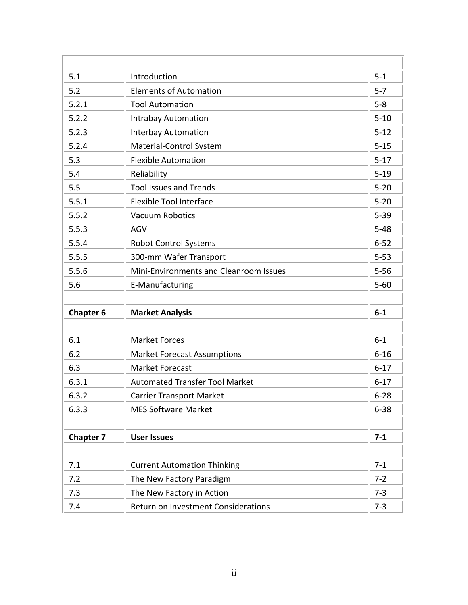| 5.1              | Introduction                           | $5 - 1$  |
|------------------|----------------------------------------|----------|
| 5.2              | <b>Elements of Automation</b>          | $5 - 7$  |
| 5.2.1            | <b>Tool Automation</b>                 | $5 - 8$  |
| 5.2.2            | <b>Intrabay Automation</b>             | $5 - 10$ |
| 5.2.3            | <b>Interbay Automation</b>             | $5 - 12$ |
| 5.2.4            | Material-Control System                | $5 - 15$ |
| 5.3              | <b>Flexible Automation</b>             | $5 - 17$ |
| 5.4              | Reliability                            | $5 - 19$ |
| 5.5              | <b>Tool Issues and Trends</b>          | $5 - 20$ |
| 5.5.1            | <b>Flexible Tool Interface</b>         | $5 - 20$ |
| 5.5.2            | <b>Vacuum Robotics</b>                 | $5 - 39$ |
| 5.5.3            | <b>AGV</b>                             | $5 - 48$ |
| 5.5.4            | <b>Robot Control Systems</b>           | $6 - 52$ |
| 5.5.5            | 300-mm Wafer Transport                 | $5 - 53$ |
| 5.5.6            | Mini-Environments and Cleanroom Issues | $5 - 56$ |
| 5.6              | E-Manufacturing                        | $5 - 60$ |
|                  |                                        |          |
| <b>Chapter 6</b> | <b>Market Analysis</b>                 | $6-1$    |
|                  |                                        |          |
| 6.1              | <b>Market Forces</b>                   | $6-1$    |
| 6.2              | <b>Market Forecast Assumptions</b>     | $6 - 16$ |
| 6.3              | <b>Market Forecast</b>                 | $6 - 17$ |
| 6.3.1            | <b>Automated Transfer Tool Market</b>  | $6 - 17$ |
| 6.3.2            | <b>Carrier Transport Market</b>        | $6 - 28$ |
| 6.3.3            | <b>MES Software Market</b>             | $6 - 38$ |
|                  |                                        |          |
| <b>Chapter 7</b> | <b>User Issues</b>                     | $7 - 1$  |
|                  |                                        |          |
| 7.1              | <b>Current Automation Thinking</b>     | $7 - 1$  |
| 7.2              | The New Factory Paradigm               | $7 - 2$  |
| 7.3              | The New Factory in Action              | $7 - 3$  |
| 7.4              | Return on Investment Considerations    | $7 - 3$  |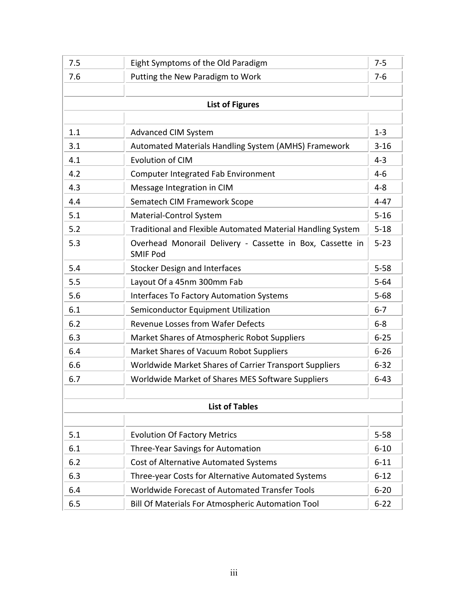| 7.5                    | Eight Symptoms of the Old Paradigm                                           | $7 - 5$  |  |  |
|------------------------|------------------------------------------------------------------------------|----------|--|--|
| 7.6                    | Putting the New Paradigm to Work                                             | $7-6$    |  |  |
|                        |                                                                              |          |  |  |
| <b>List of Figures</b> |                                                                              |          |  |  |
|                        |                                                                              |          |  |  |
| 1.1                    | <b>Advanced CIM System</b>                                                   | $1 - 3$  |  |  |
| 3.1                    | Automated Materials Handling System (AMHS) Framework                         | $3 - 16$ |  |  |
| 4.1                    | <b>Evolution of CIM</b>                                                      | $4 - 3$  |  |  |
| 4.2                    | Computer Integrated Fab Environment                                          | $4 - 6$  |  |  |
| 4.3                    | Message Integration in CIM                                                   | $4 - 8$  |  |  |
| 4.4                    | Sematech CIM Framework Scope                                                 | $4 - 47$ |  |  |
| 5.1                    | Material-Control System                                                      | $5 - 16$ |  |  |
| 5.2                    | Traditional and Flexible Automated Material Handling System                  | $5 - 18$ |  |  |
| 5.3                    | Overhead Monorail Delivery - Cassette in Box, Cassette in<br><b>SMIF Pod</b> | $5 - 23$ |  |  |
| 5.4                    | <b>Stocker Design and Interfaces</b>                                         | $5 - 58$ |  |  |
| 5.5                    | Layout Of a 45nm 300mm Fab                                                   | $5 - 64$ |  |  |
| 5.6                    | <b>Interfaces To Factory Automation Systems</b>                              | $5 - 68$ |  |  |
| 6.1                    | Semiconductor Equipment Utilization                                          | $6 - 7$  |  |  |
| 6.2                    | <b>Revenue Losses from Wafer Defects</b>                                     | $6-8$    |  |  |
| 6.3                    | Market Shares of Atmospheric Robot Suppliers                                 | $6 - 25$ |  |  |
| 6.4                    | Market Shares of Vacuum Robot Suppliers                                      | $6 - 26$ |  |  |
| 6.6                    | Worldwide Market Shares of Carrier Transport Suppliers                       | $6 - 32$ |  |  |
| 6.7                    | Worldwide Market of Shares MES Software Suppliers                            | $6 - 43$ |  |  |
|                        |                                                                              |          |  |  |
|                        | <b>List of Tables</b>                                                        |          |  |  |
|                        |                                                                              |          |  |  |
| 5.1                    | <b>Evolution Of Factory Metrics</b>                                          | $5 - 58$ |  |  |
| 6.1                    | Three-Year Savings for Automation                                            | $6 - 10$ |  |  |
| 6.2                    | <b>Cost of Alternative Automated Systems</b>                                 | $6 - 11$ |  |  |
| 6.3                    | Three-year Costs for Alternative Automated Systems                           | $6 - 12$ |  |  |
| 6.4                    | Worldwide Forecast of Automated Transfer Tools                               | $6 - 20$ |  |  |
| 6.5                    | <b>Bill Of Materials For Atmospheric Automation Tool</b>                     | $6 - 22$ |  |  |